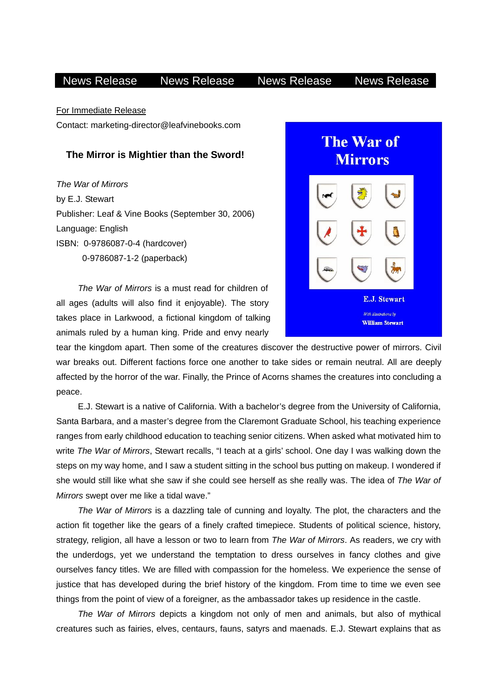## News Release News Release News Release News Release

For Immediate Release

Contact: marketing-director@leafvinebooks.com

## **The Mirror is Mightier than the Sword!**

*The War of Mirrors*  by E.J. Stewart Publisher: Leaf & Vine Books (September 30, 2006) Language: English ISBN: 0-9786087-0-4 (hardcover) 0-9786087-1-2 (paperback)

*The War of Mirrors* is a must read for children of. all ages (adults will also find it enjoyable). The story. takes place in Larkwood, a fictional kingdom of talking animals ruled by a human king. Pride and envy nearly.



tear the kingdom apart. Then some of the creatures discover the destructive power of mirrors. Civil war breaks out. Different factions force one another to take sides or remain neutral. All are deeply affected by the horror of the war. Finally, the Prince of Acorns shames the creatures into concluding a peace.

 E.J. Stewart is a native of California. With a bachelor's degree from the University of California, Santa Barbara, and a master's degree from the Claremont Graduate School, his teaching experience ranges from early childhood education to teaching senior citizens. When asked what motivated him to write *The War of Mirrors*, Stewart recalls, "I teach at a girls' school. One day I was walking down the steps on my way home, and I saw a student sitting in the school bus putting on makeup. I wondered if she would still like what she saw if she could see herself as she really was. The idea of *The War of Mirrors* swept over me like a tidal wave."

 *The War of Mirrors* is a dazzling tale of cunning and loyalty. The plot, the characters and the action fit together like the gears of a finely crafted timepiece. Students of political science, history, strategy, religion, all have a lesson or two to learn from *The War of Mirrors*. As readers, we cry with the underdogs, yet we understand the temptation to dress ourselves in fancy clothes and give ourselves fancy titles. We are filled with compassion for the homeless. We experience the sense of justice that has developed during the brief history of the kingdom. From time to time we even see things from the point of view of a foreigner, as the ambassador takes up residence in the castle.

*The War of Mirrors* depicts a kingdom not only of men and animals, but also of mythical creatures such as fairies, elves, centaurs, fauns, satyrs and maenads. E.J. Stewart explains that as